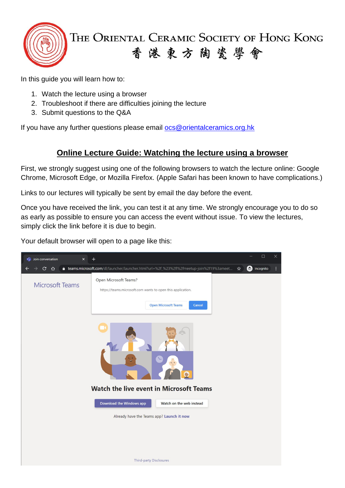

The Oriental Ceramic Society of Hong Kong 香港東方陶瓷學會

In this guide you will learn how to:

- 1. Watch the lecture using a browser
- 2. Troubleshoot if there are difficulties joining the lecture
- 3. Submit questions to the Q&A

If you have any further questions please email [ocs@orientalceramics.org.hk](mailto:ocs@orientalceramics.org.hk)

## **Online Lecture Guide: Watching the lecture using a browser**

First, we strongly suggest using one of the following browsers to watch the lecture online: Google Chrome, Microsoft Edge, or Mozilla Firefox. (Apple Safari has been known to have complications.)

Links to our lectures will typically be sent by email the day before the event.

Once you have received the link, you can test it at any time. We strongly encourage you to do so as early as possible to ensure you can access the event without issue. To view the lectures, simply click the link before it is due to begin.

Your default browser will open to a page like this:

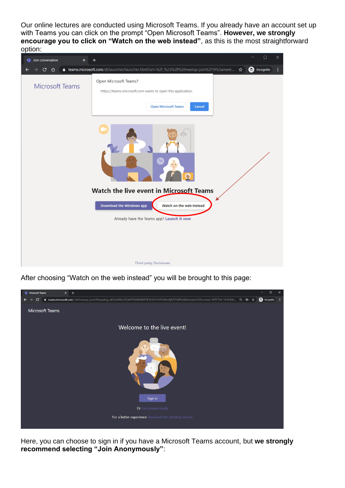Our online lectures are conducted using Microsoft Teams. If you already have an account set up with Teams you can click on the prompt "Open Microsoft Teams". **However, we strongly encourage you to click on "Watch on the web instead"**, as this is the most straightforward option:



After choosing "Watch on the web instead" you will be brought to this page:



Here, you can choose to sign in if you have a Microsoft Teams account, but **we strongly recommend selecting "Join Anonymously"**: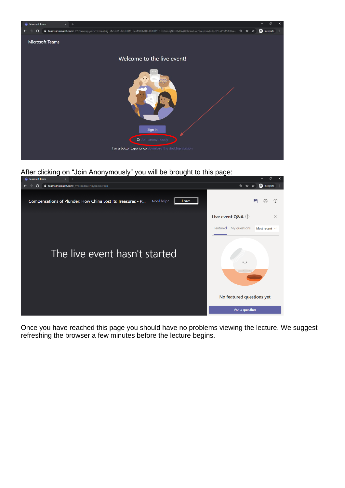

After clicking on "Join Anonymously" you will be brought to this page:



Once you have reached this page you should have no problems viewing the lecture. We suggest refreshing the browser a few minutes before the lecture begins.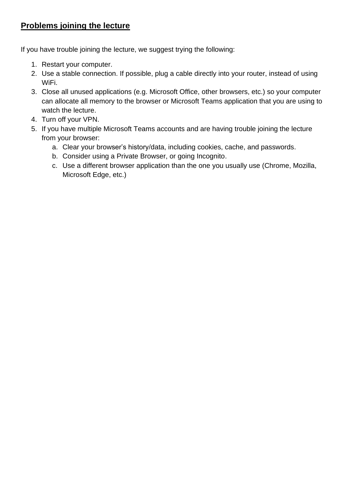## **Problems joining the lecture**

If you have trouble joining the lecture, we suggest trying the following:

- 1. Restart your computer.
- 2. Use a stable connection. If possible, plug a cable directly into your router, instead of using WiFi.
- 3. Close all unused applications (e.g. Microsoft Office, other browsers, etc.) so your computer can allocate all memory to the browser or Microsoft Teams application that you are using to watch the lecture.
- 4. Turn off your VPN.
- 5. If you have multiple Microsoft Teams accounts and are having trouble joining the lecture from your browser:
	- a. Clear your browser's history/data, including cookies, cache, and passwords.
	- b. Consider using a Private Browser, or going Incognito.
	- c. Use a different browser application than the one you usually use (Chrome, Mozilla, Microsoft Edge, etc.)